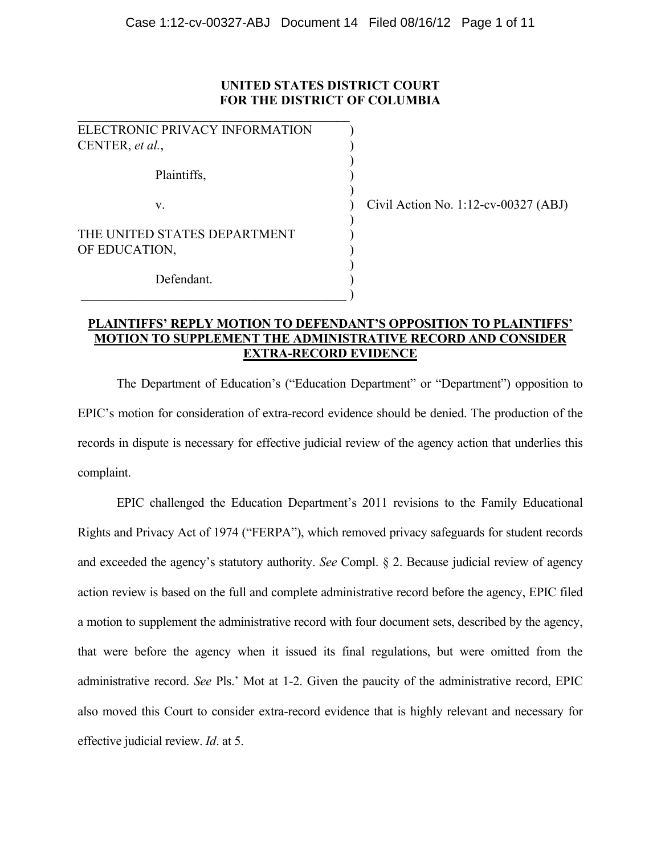# **UNITED STATES DISTRICT COURT FOR THE DISTRICT OF COLUMBIA**

| ELECTRONIC PRIVACY INFORMATION |       |
|--------------------------------|-------|
| CENTER, et al.,                |       |
|                                |       |
| Plaintiffs,                    |       |
| $V_{-}$                        | Civil |
|                                |       |
| THE UNITED STATES DEPARTMENT   |       |
| OF EDUCATION,                  |       |
|                                |       |
| Defendant.                     |       |

 $\qquad \qquad \qquad .$ 

Civil Action No. 1:12-cv-00327  $(ABJ)$ 

# **PLAINTIFFS' REPLY MOTION TO DEFENDANT'S OPPOSITION TO PLAINTIFFS' MOTION TO SUPPLEMENT THE ADMINISTRATIVE RECORD AND CONSIDER EXTRA-RECORD EVIDENCE**

The Department of Education's ("Education Department" or "Department") opposition to EPIC's motion for consideration of extra-record evidence should be denied. The production of the records in dispute is necessary for effective judicial review of the agency action that underlies this complaint.

EPIC challenged the Education Department's 2011 revisions to the Family Educational Rights and Privacy Act of 1974 ("FERPA"), which removed privacy safeguards for student records and exceeded the agency's statutory authority. *See* Compl. § 2. Because judicial review of agency action review is based on the full and complete administrative record before the agency, EPIC filed a motion to supplement the administrative record with four document sets, described by the agency, that were before the agency when it issued its final regulations, but were omitted from the administrative record. *See* Pls.' Mot at 1-2. Given the paucity of the administrative record, EPIC also moved this Court to consider extra-record evidence that is highly relevant and necessary for effective judicial review. *Id*. at 5.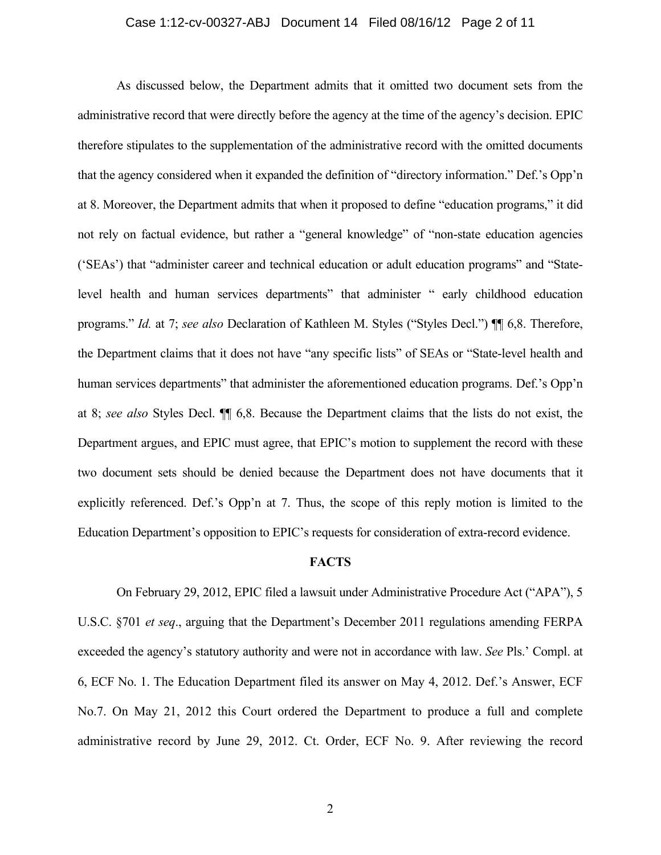### Case 1:12-cv-00327-ABJ Document 14 Filed 08/16/12 Page 2 of 11

As discussed below, the Department admits that it omitted two document sets from the administrative record that were directly before the agency at the time of the agency's decision. EPIC therefore stipulates to the supplementation of the administrative record with the omitted documents that the agency considered when it expanded the definition of "directory information." Def.'s Opp'n at 8. Moreover, the Department admits that when it proposed to define "education programs," it did not rely on factual evidence, but rather a "general knowledge" of "non-state education agencies ('SEAs') that "administer career and technical education or adult education programs" and "Statelevel health and human services departments" that administer " early childhood education programs." *Id.* at 7; *see also* Declaration of Kathleen M. Styles ("Styles Decl.") ¶¶ 6,8. Therefore, the Department claims that it does not have "any specific lists" of SEAs or "State-level health and human services departments" that administer the aforementioned education programs. Def.'s Opp'n at 8; *see also* Styles Decl. ¶¶ 6,8. Because the Department claims that the lists do not exist, the Department argues, and EPIC must agree, that EPIC's motion to supplement the record with these two document sets should be denied because the Department does not have documents that it explicitly referenced. Def.'s Opp'n at 7. Thus, the scope of this reply motion is limited to the Education Department's opposition to EPIC's requests for consideration of extra-record evidence.

#### **FACTS**

On February 29, 2012, EPIC filed a lawsuit under Administrative Procedure Act ("APA"), 5 U.S.C. §701 *et seq*., arguing that the Department's December 2011 regulations amending FERPA exceeded the agency's statutory authority and were not in accordance with law. *See* Pls.' Compl. at 6, ECF No. 1. The Education Department filed its answer on May 4, 2012. Def.'s Answer, ECF No.7. On May 21, 2012 this Court ordered the Department to produce a full and complete administrative record by June 29, 2012. Ct. Order, ECF No. 9. After reviewing the record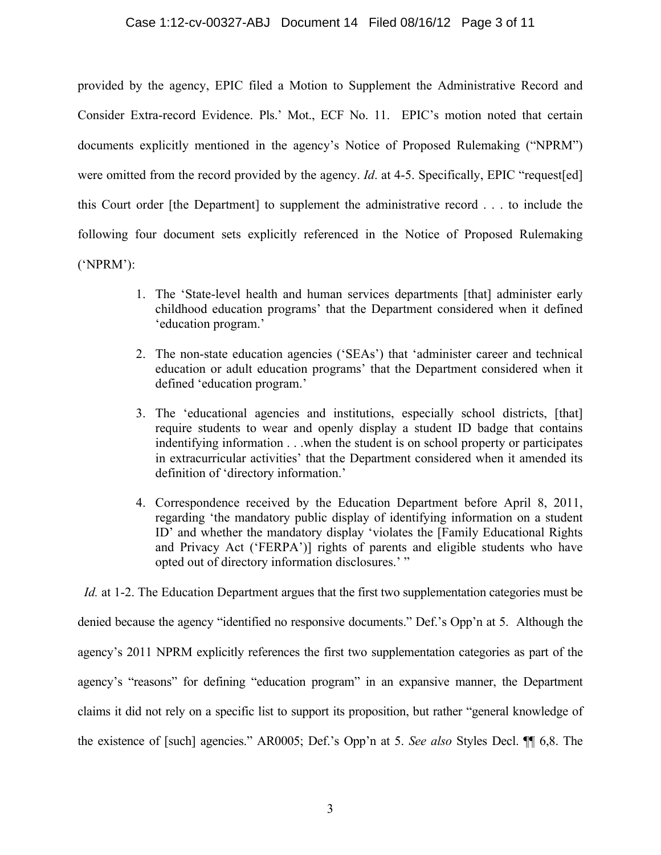provided by the agency, EPIC filed a Motion to Supplement the Administrative Record and Consider Extra-record Evidence. Pls.' Mot., ECF No. 11. EPIC's motion noted that certain documents explicitly mentioned in the agency's Notice of Proposed Rulemaking ("NPRM") were omitted from the record provided by the agency. *Id.* at 4-5. Specifically, EPIC "request[ed] this Court order [the Department] to supplement the administrative record . . . to include the following four document sets explicitly referenced in the Notice of Proposed Rulemaking ('NPRM'):

- 1. The 'State-level health and human services departments [that] administer early childhood education programs' that the Department considered when it defined 'education program.'
- 2. The non-state education agencies ('SEAs') that 'administer career and technical education or adult education programs' that the Department considered when it defined 'education program.'
- 3. The 'educational agencies and institutions, especially school districts, [that] require students to wear and openly display a student ID badge that contains indentifying information . . .when the student is on school property or participates in extracurricular activities' that the Department considered when it amended its definition of 'directory information.'
- 4. Correspondence received by the Education Department before April 8, 2011, regarding 'the mandatory public display of identifying information on a student ID' and whether the mandatory display 'violates the [Family Educational Rights and Privacy Act ('FERPA')] rights of parents and eligible students who have opted out of directory information disclosures.' "

*Id.* at 1-2. The Education Department argues that the first two supplementation categories must be denied because the agency "identified no responsive documents." Def.'s Opp'n at 5. Although the agency's 2011 NPRM explicitly references the first two supplementation categories as part of the agency's "reasons" for defining "education program" in an expansive manner, the Department claims it did not rely on a specific list to support its proposition, but rather "general knowledge of the existence of [such] agencies." AR0005; Def.'s Opp'n at 5. *See also* Styles Decl. ¶¶ 6,8. The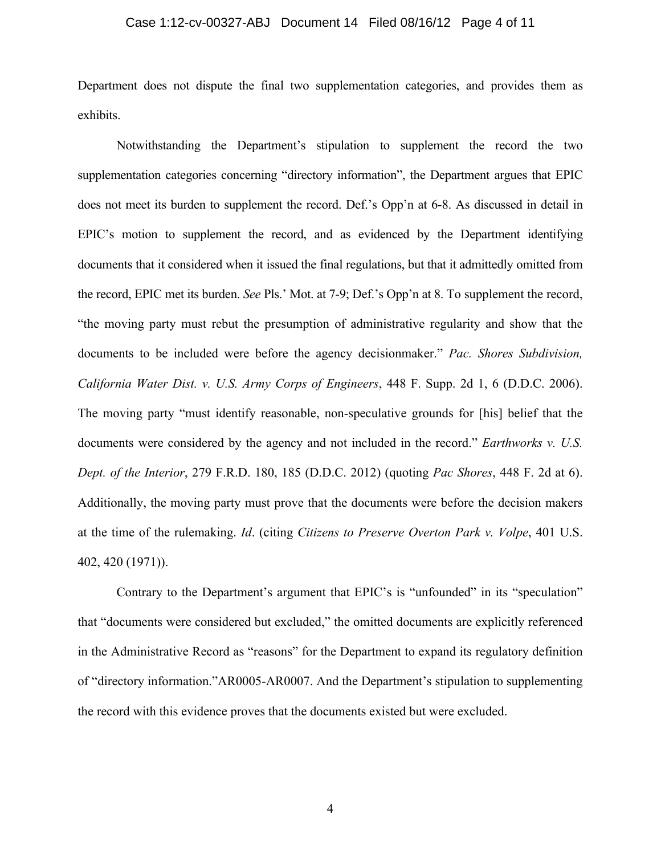### Case 1:12-cv-00327-ABJ Document 14 Filed 08/16/12 Page 4 of 11

Department does not dispute the final two supplementation categories, and provides them as exhibits.

Notwithstanding the Department's stipulation to supplement the record the two supplementation categories concerning "directory information", the Department argues that EPIC does not meet its burden to supplement the record. Def.'s Opp'n at 6-8. As discussed in detail in EPIC's motion to supplement the record, and as evidenced by the Department identifying documents that it considered when it issued the final regulations, but that it admittedly omitted from the record, EPIC met its burden. *See* Pls.' Mot. at 7-9; Def.'s Opp'n at 8. To supplement the record, "the moving party must rebut the presumption of administrative regularity and show that the documents to be included were before the agency decisionmaker." *Pac. Shores Subdivision, California Water Dist. v. U.S. Army Corps of Engineers*, 448 F. Supp. 2d 1, 6 (D.D.C. 2006). The moving party "must identify reasonable, non-speculative grounds for [his] belief that the documents were considered by the agency and not included in the record." *Earthworks v. U.S. Dept. of the Interior*, 279 F.R.D. 180, 185 (D.D.C. 2012) (quoting *Pac Shores*, 448 F. 2d at 6). Additionally, the moving party must prove that the documents were before the decision makers at the time of the rulemaking. *Id*. (citing *Citizens to Preserve Overton Park v. Volpe*, 401 U.S. 402, 420 (1971)).

Contrary to the Department's argument that EPIC's is "unfounded" in its "speculation" that "documents were considered but excluded," the omitted documents are explicitly referenced in the Administrative Record as "reasons" for the Department to expand its regulatory definition of "directory information."AR0005-AR0007. And the Department's stipulation to supplementing the record with this evidence proves that the documents existed but were excluded.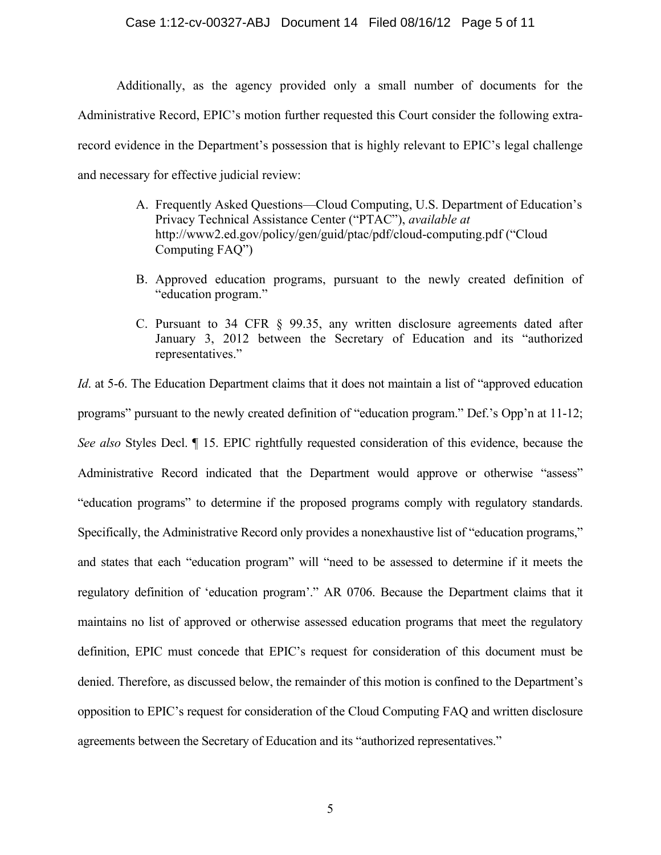### Case 1:12-cv-00327-ABJ Document 14 Filed 08/16/12 Page 5 of 11

Additionally, as the agency provided only a small number of documents for the Administrative Record, EPIC's motion further requested this Court consider the following extrarecord evidence in the Department's possession that is highly relevant to EPIC's legal challenge and necessary for effective judicial review:

- A. Frequently Asked Questions—Cloud Computing, U.S. Department of Education's Privacy Technical Assistance Center ("PTAC"), *available at*  http://www2.ed.gov/policy/gen/guid/ptac/pdf/cloud-computing.pdf ("Cloud Computing FAQ")
- B. Approved education programs, pursuant to the newly created definition of "education program."
- C. Pursuant to 34 CFR § 99.35, any written disclosure agreements dated after January 3, 2012 between the Secretary of Education and its "authorized representatives."

*Id.* at 5-6. The Education Department claims that it does not maintain a list of "approved education" programs" pursuant to the newly created definition of "education program." Def.'s Opp'n at 11-12; *See also* Styles Decl. ¶ 15. EPIC rightfully requested consideration of this evidence, because the Administrative Record indicated that the Department would approve or otherwise "assess" "education programs" to determine if the proposed programs comply with regulatory standards. Specifically, the Administrative Record only provides a nonexhaustive list of "education programs," and states that each "education program" will "need to be assessed to determine if it meets the regulatory definition of 'education program'." AR 0706. Because the Department claims that it maintains no list of approved or otherwise assessed education programs that meet the regulatory definition, EPIC must concede that EPIC's request for consideration of this document must be denied. Therefore, as discussed below, the remainder of this motion is confined to the Department's opposition to EPIC's request for consideration of the Cloud Computing FAQ and written disclosure agreements between the Secretary of Education and its "authorized representatives."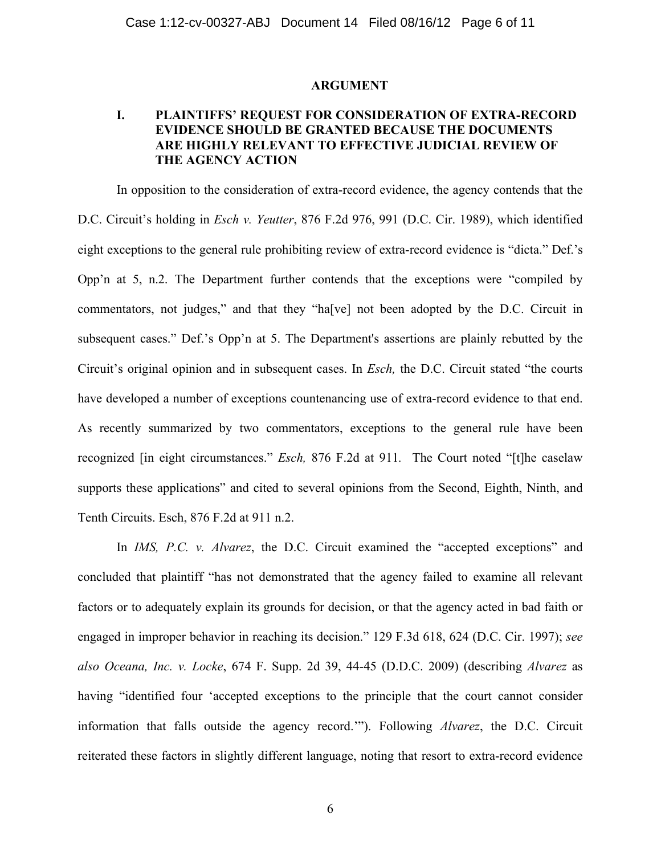### **ARGUMENT**

# **I. PLAINTIFFS' REQUEST FOR CONSIDERATION OF EXTRA-RECORD EVIDENCE SHOULD BE GRANTED BECAUSE THE DOCUMENTS ARE HIGHLY RELEVANT TO EFFECTIVE JUDICIAL REVIEW OF THE AGENCY ACTION**

In opposition to the consideration of extra-record evidence, the agency contends that the D.C. Circuit's holding in *Esch v. Yeutter*, 876 F.2d 976, 991 (D.C. Cir. 1989), which identified eight exceptions to the general rule prohibiting review of extra-record evidence is "dicta." Def.'s Opp'n at 5, n.2. The Department further contends that the exceptions were "compiled by commentators, not judges," and that they "ha[ve] not been adopted by the D.C. Circuit in subsequent cases." Def.'s Opp'n at 5. The Department's assertions are plainly rebutted by the Circuit's original opinion and in subsequent cases. In *Esch,* the D.C. Circuit stated "the courts have developed a number of exceptions countenancing use of extra-record evidence to that end. As recently summarized by two commentators, exceptions to the general rule have been recognized [in eight circumstances." *Esch,* 876 F.2d at 911*.* The Court noted "[t]he caselaw supports these applications" and cited to several opinions from the Second, Eighth, Ninth, and Tenth Circuits. Esch, 876 F.2d at 911 n.2.

In *IMS, P.C. v. Alvarez*, the D.C. Circuit examined the "accepted exceptions" and concluded that plaintiff "has not demonstrated that the agency failed to examine all relevant factors or to adequately explain its grounds for decision, or that the agency acted in bad faith or engaged in improper behavior in reaching its decision." 129 F.3d 618, 624 (D.C. Cir. 1997); *see also Oceana, Inc. v. Locke*, 674 F. Supp. 2d 39, 44-45 (D.D.C. 2009) (describing *Alvarez* as having "identified four 'accepted exceptions to the principle that the court cannot consider information that falls outside the agency record.'"). Following *Alvarez*, the D.C. Circuit reiterated these factors in slightly different language, noting that resort to extra-record evidence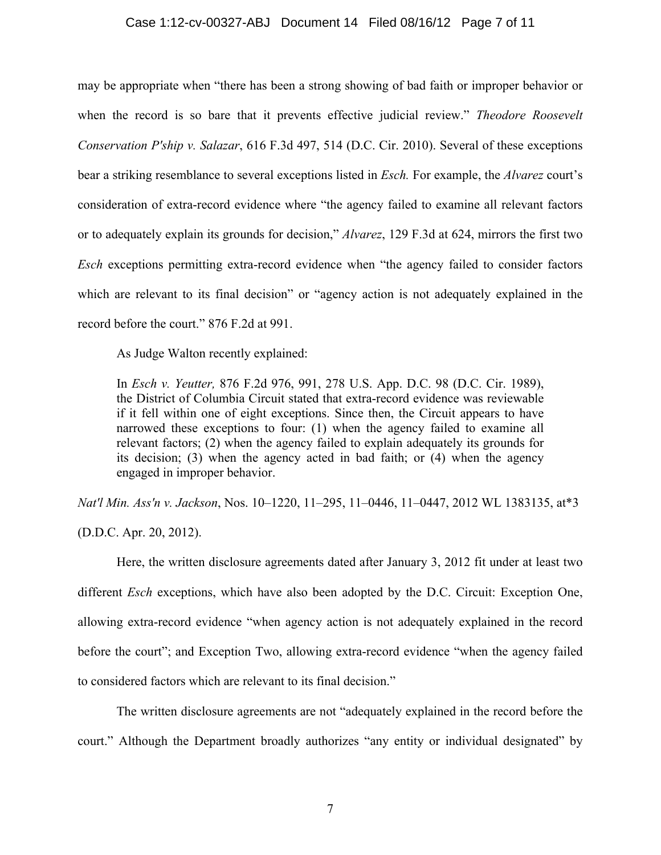### Case 1:12-cv-00327-ABJ Document 14 Filed 08/16/12 Page 7 of 11

may be appropriate when "there has been a strong showing of bad faith or improper behavior or when the record is so bare that it prevents effective judicial review." *Theodore Roosevelt Conservation P'ship v. Salazar*, 616 F.3d 497, 514 (D.C. Cir. 2010). Several of these exceptions bear a striking resemblance to several exceptions listed in *Esch.* For example, the *Alvarez* court's consideration of extra-record evidence where "the agency failed to examine all relevant factors or to adequately explain its grounds for decision," *Alvarez*, 129 F.3d at 624, mirrors the first two *Esch* exceptions permitting extra-record evidence when "the agency failed to consider factors which are relevant to its final decision" or "agency action is not adequately explained in the record before the court." 876 F.2d at 991.

As Judge Walton recently explained:

In *Esch v. Yeutter,* 876 F.2d 976, 991, 278 U.S. App. D.C. 98 (D.C. Cir. 1989), the District of Columbia Circuit stated that extra-record evidence was reviewable if it fell within one of eight exceptions. Since then, the Circuit appears to have narrowed these exceptions to four: (1) when the agency failed to examine all relevant factors; (2) when the agency failed to explain adequately its grounds for its decision; (3) when the agency acted in bad faith; or (4) when the agency engaged in improper behavior.

*Nat'l Min. Ass'n v. Jackson*, Nos. 10–1220, 11–295, 11–0446, 11–0447, 2012 WL 1383135, at\*3

(D.D.C. Apr. 20, 2012).

Here, the written disclosure agreements dated after January 3, 2012 fit under at least two different *Esch* exceptions, which have also been adopted by the D.C. Circuit: Exception One, allowing extra-record evidence "when agency action is not adequately explained in the record before the court"; and Exception Two, allowing extra-record evidence "when the agency failed to considered factors which are relevant to its final decision."

The written disclosure agreements are not "adequately explained in the record before the court." Although the Department broadly authorizes "any entity or individual designated" by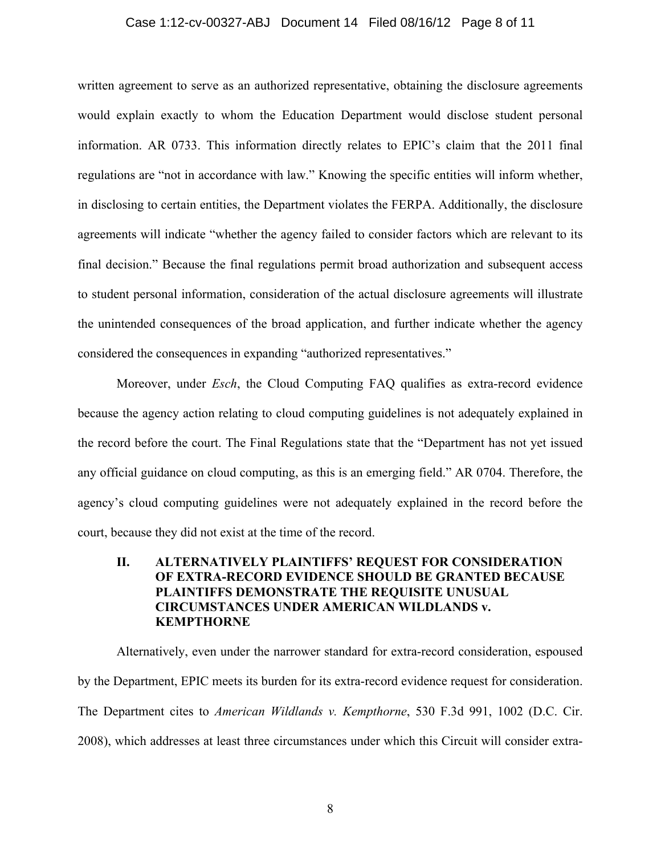### Case 1:12-cv-00327-ABJ Document 14 Filed 08/16/12 Page 8 of 11

written agreement to serve as an authorized representative, obtaining the disclosure agreements would explain exactly to whom the Education Department would disclose student personal information. AR 0733. This information directly relates to EPIC's claim that the 2011 final regulations are "not in accordance with law." Knowing the specific entities will inform whether, in disclosing to certain entities, the Department violates the FERPA. Additionally, the disclosure agreements will indicate "whether the agency failed to consider factors which are relevant to its final decision." Because the final regulations permit broad authorization and subsequent access to student personal information, consideration of the actual disclosure agreements will illustrate the unintended consequences of the broad application, and further indicate whether the agency considered the consequences in expanding "authorized representatives."

Moreover, under *Esch*, the Cloud Computing FAQ qualifies as extra-record evidence because the agency action relating to cloud computing guidelines is not adequately explained in the record before the court. The Final Regulations state that the "Department has not yet issued any official guidance on cloud computing, as this is an emerging field." AR 0704. Therefore, the agency's cloud computing guidelines were not adequately explained in the record before the court, because they did not exist at the time of the record.

## **II. ALTERNATIVELY PLAINTIFFS' REQUEST FOR CONSIDERATION OF EXTRA-RECORD EVIDENCE SHOULD BE GRANTED BECAUSE PLAINTIFFS DEMONSTRATE THE REQUISITE UNUSUAL CIRCUMSTANCES UNDER AMERICAN WILDLANDS v. KEMPTHORNE**

Alternatively, even under the narrower standard for extra-record consideration, espoused by the Department, EPIC meets its burden for its extra-record evidence request for consideration. The Department cites to *American Wildlands v. Kempthorne*, 530 F.3d 991, 1002 (D.C. Cir. 2008), which addresses at least three circumstances under which this Circuit will consider extra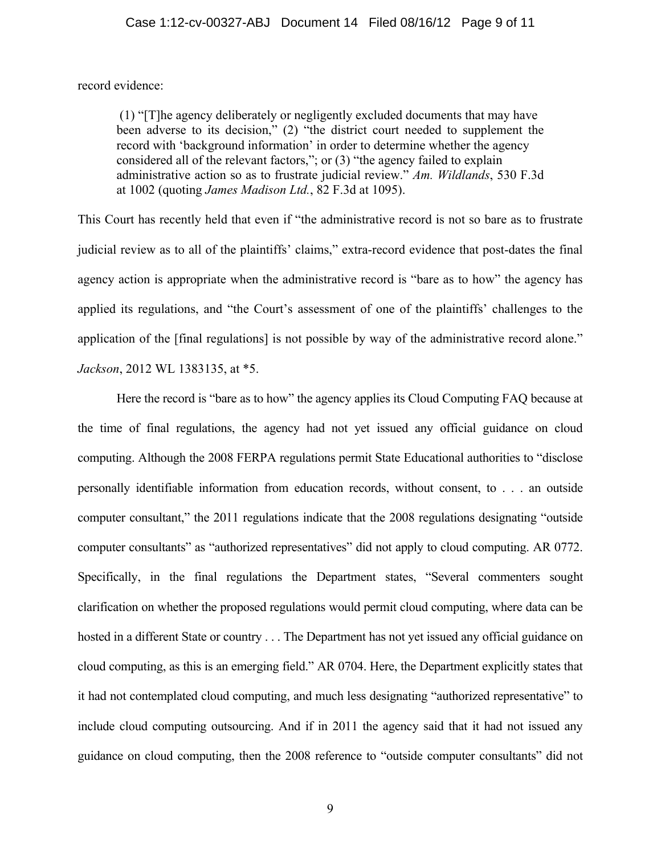record evidence:

(1) "[T]he agency deliberately or negligently excluded documents that may have been adverse to its decision," (2) "the district court needed to supplement the record with 'background information' in order to determine whether the agency considered all of the relevant factors,"; or (3) "the agency failed to explain administrative action so as to frustrate judicial review." *Am. Wildlands*, 530 F.3d at 1002 (quoting *James Madison Ltd.*, 82 F.3d at 1095).

This Court has recently held that even if "the administrative record is not so bare as to frustrate judicial review as to all of the plaintiffs' claims," extra-record evidence that post-dates the final agency action is appropriate when the administrative record is "bare as to how" the agency has applied its regulations, and "the Court's assessment of one of the plaintiffs' challenges to the application of the [final regulations] is not possible by way of the administrative record alone." *Jackson*, 2012 WL 1383135, at \*5.

Here the record is "bare as to how" the agency applies its Cloud Computing FAQ because at the time of final regulations, the agency had not yet issued any official guidance on cloud computing. Although the 2008 FERPA regulations permit State Educational authorities to "disclose personally identifiable information from education records, without consent, to . . . an outside computer consultant," the 2011 regulations indicate that the 2008 regulations designating "outside computer consultants" as "authorized representatives" did not apply to cloud computing. AR 0772. Specifically, in the final regulations the Department states, "Several commenters sought clarification on whether the proposed regulations would permit cloud computing, where data can be hosted in a different State or country . . . The Department has not yet issued any official guidance on cloud computing, as this is an emerging field." AR 0704. Here, the Department explicitly states that it had not contemplated cloud computing, and much less designating "authorized representative" to include cloud computing outsourcing. And if in 2011 the agency said that it had not issued any guidance on cloud computing, then the 2008 reference to "outside computer consultants" did not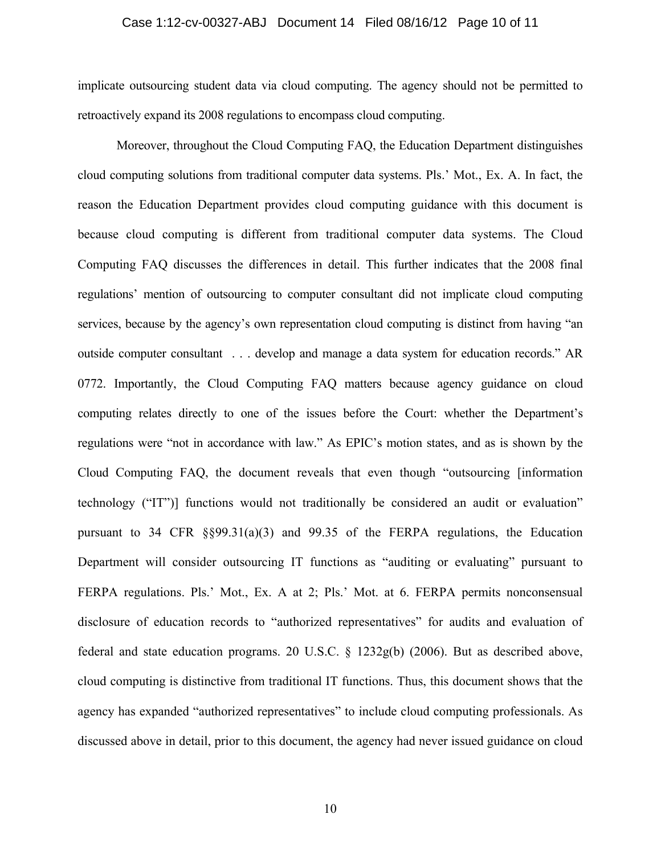### Case 1:12-cv-00327-ABJ Document 14 Filed 08/16/12 Page 10 of 11

implicate outsourcing student data via cloud computing. The agency should not be permitted to retroactively expand its 2008 regulations to encompass cloud computing.

Moreover, throughout the Cloud Computing FAQ, the Education Department distinguishes cloud computing solutions from traditional computer data systems. Pls.' Mot., Ex. A. In fact, the reason the Education Department provides cloud computing guidance with this document is because cloud computing is different from traditional computer data systems. The Cloud Computing FAQ discusses the differences in detail. This further indicates that the 2008 final regulations' mention of outsourcing to computer consultant did not implicate cloud computing services, because by the agency's own representation cloud computing is distinct from having "an outside computer consultant . . . develop and manage a data system for education records." AR 0772. Importantly, the Cloud Computing FAQ matters because agency guidance on cloud computing relates directly to one of the issues before the Court: whether the Department's regulations were "not in accordance with law." As EPIC's motion states, and as is shown by the Cloud Computing FAQ, the document reveals that even though "outsourcing [information technology ("IT")] functions would not traditionally be considered an audit or evaluation" pursuant to 34 CFR §§99.31(a)(3) and 99.35 of the FERPA regulations, the Education Department will consider outsourcing IT functions as "auditing or evaluating" pursuant to FERPA regulations. Pls.' Mot., Ex. A at 2; Pls.' Mot. at 6. FERPA permits nonconsensual disclosure of education records to "authorized representatives" for audits and evaluation of federal and state education programs. 20 U.S.C. § 1232g(b) (2006). But as described above, cloud computing is distinctive from traditional IT functions. Thus, this document shows that the agency has expanded "authorized representatives" to include cloud computing professionals. As discussed above in detail, prior to this document, the agency had never issued guidance on cloud